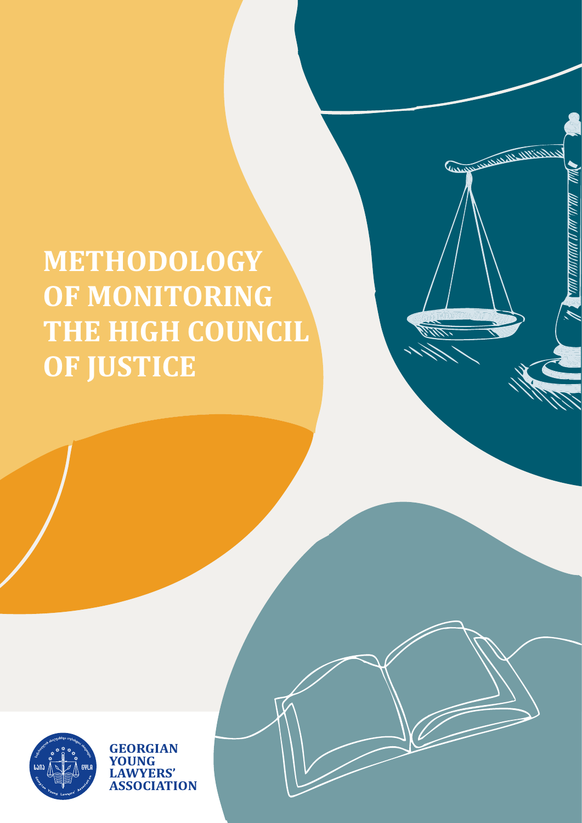

**GEORGIAN**<br>**YOUNG UNG LAWYERS' ASSOCIATION**

**METHODOLOGY OF MONITORING THE HIGH COUNCIL OF JUSTICE** 

MAN KAMANA NAMA NAM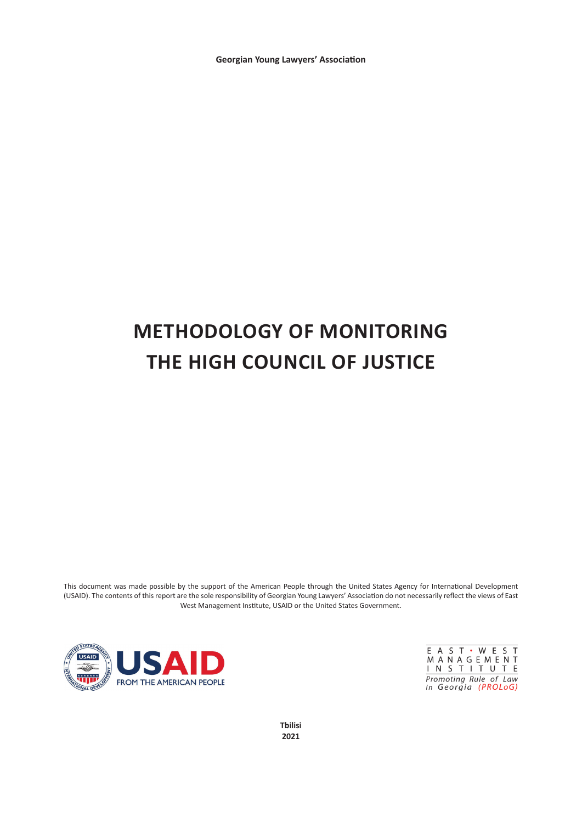**Georgian Young Lawyers' Association**

# **METHODOLOGY OF MONITORING THE HIGH COUNCIL OF JUSTICE**

This document was made possible by the support of the American People through the United States Agency for International Development (USAID). The contents of this report are the sole responsibility of Georgian Young Lawyers' Association do not necessarily reflect the views of East West Management Institute, USAID or the United States Government.



E A S T · W E S T MANAGEMENT<br>INSTITUTE Promoting Rule of Law<br>in Georgia (PROLoG)

**Tbilisi 2021**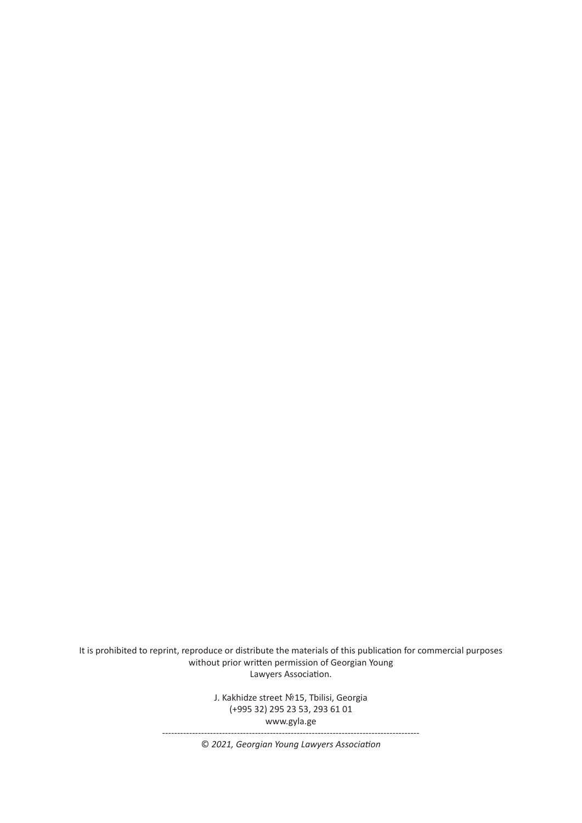It is prohibited to reprint, reproduce or distribute the materials of this publication for commercial purposes without prior written permission of Georgian Young Lawyers Association.

> J. Kakhidze street No15, Tbilisi, Georgia (+995 32) 295 23 53, 293 61 01 www.gyla.ge --------------------------------------------------------------------------------------

> > © *2021, Georgian Young Lawyers Association*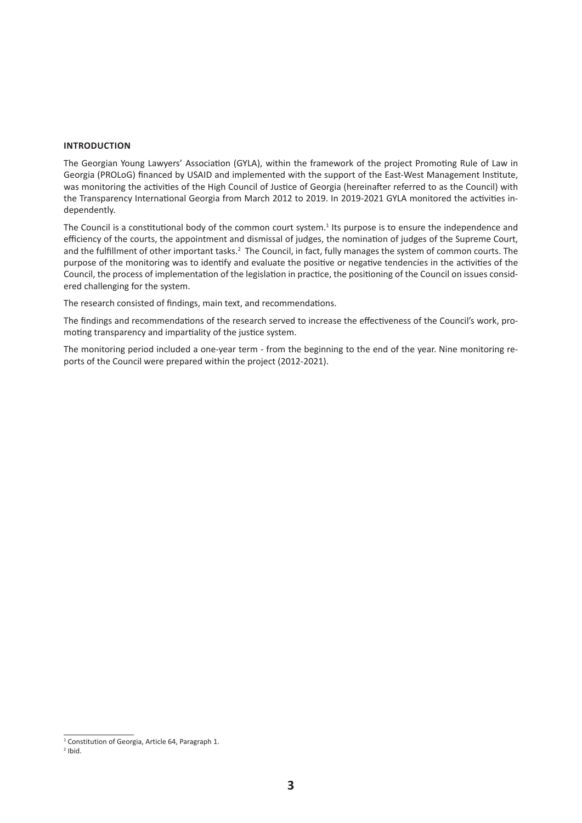#### **INTRODUCTION**

The Georgian Young Lawyers' Association (GYLA), within the framework of the project Promoting Rule of Law in Georgia (PROLoG) financed by USAID and implemented with the support of the East-West Management Institute, was monitoring the activities of the High Council of Justice of Georgia (hereinafter referred to as the Council) with the Transparency International Georgia from March 2012 to 2019. In 2019-2021 GYLA monitored the activities independently.

The Council is a constitutional body of the common court system.<sup>1</sup> Its purpose is to ensure the independence and efficiency of the courts, the appointment and dismissal of judges, the nomination of judges of the Supreme Court, and the fulfillment of other important tasks.<sup>2</sup> The Council, in fact, fully manages the system of common courts. The purpose of the monitoring was to identify and evaluate the positive or negative tendencies in the activities of the Council, the process of implementation of the legislation in practice, the positioning of the Council on issues considered challenging for the system.

The research consisted of findings, main text, and recommendations.

The findings and recommendations of the research served to increase the effectiveness of the Council's work, promoting transparency and impartiality of the justice system.

The monitoring period included a one-year term - from the beginning to the end of the year. Nine monitoring reports of the Council were prepared within the project (2012-2021).

<sup>&</sup>lt;sup>1</sup> Constitution of Georgia, Article 64, Paragraph 1.

 $2$  Ibid.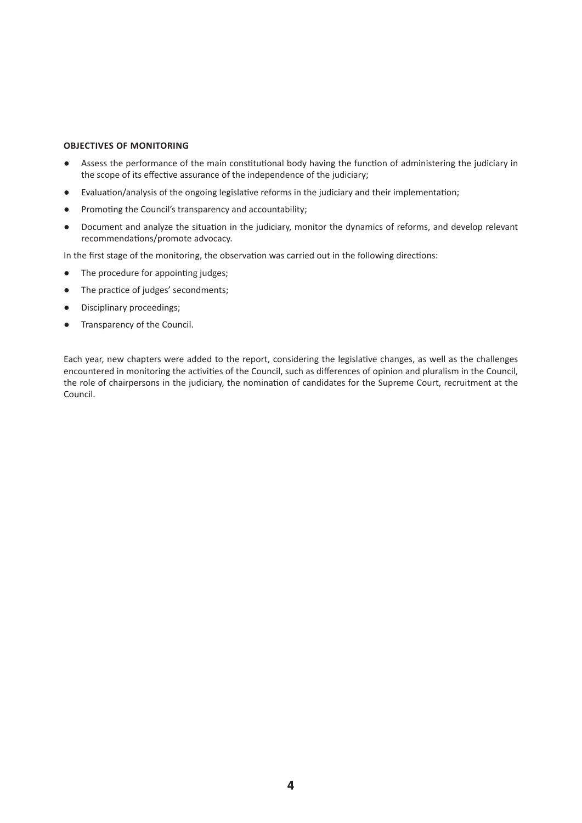# **OBJECTIVES OF MONITORING**

- Assess the performance of the main constitutional body having the function of administering the judiciary in the scope of its effective assurance of the independence of the judiciary;
- Evaluation/analysis of the ongoing legislative reforms in the judiciary and their implementation;
- Promoting the Council's transparency and accountability;
- Document and analyze the situation in the judiciary, monitor the dynamics of reforms, and develop relevant recommendations/promote advocacy.

In the first stage of the monitoring, the observation was carried out in the following directions:

- The procedure for appointing judges;
- The practice of judges' secondments;
- Disciplinary proceedings;
- Transparency of the Council.

Each year, new chapters were added to the report, considering the legislative changes, as well as the challenges encountered in monitoring the activities of the Council, such as differences of opinion and pluralism in the Council, the role of chairpersons in the judiciary, the nomination of candidates for the Supreme Court, recruitment at the Council.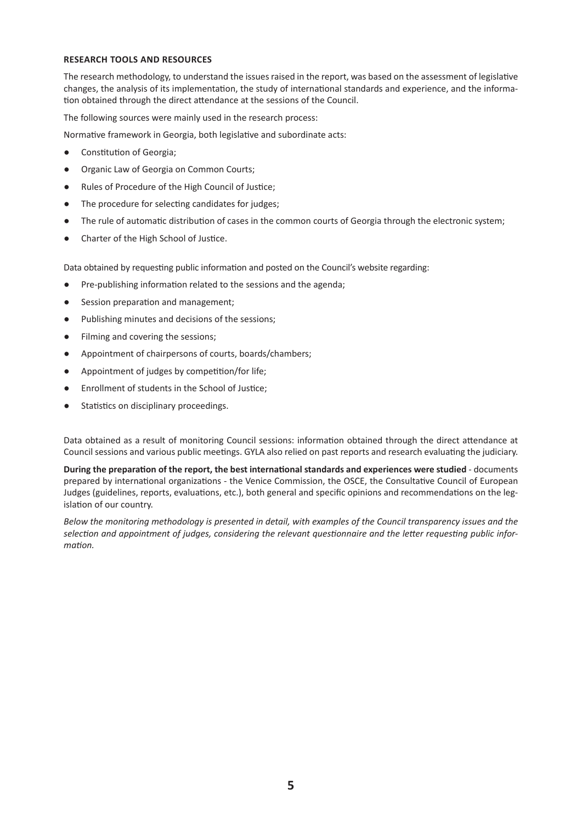## **RESEARCH TOOLS AND RESOURCES**

The research methodology, to understand the issues raised in the report, was based on the assessment of legislative changes, the analysis of its implementation, the study of international standards and experience, and the information obtained through the direct attendance at the sessions of the Council.

The following sources were mainly used in the research process:

Normative framework in Georgia, both legislative and subordinate acts:

- Constitution of Georgia;
- Organic Law of Georgia on Common Courts;
- Rules of Procedure of the High Council of Justice;
- The procedure for selecting candidates for judges;
- The rule of automatic distribution of cases in the common courts of Georgia through the electronic system;
- Charter of the High School of Justice.

Data obtained by requesting public information and posted on the Council's website regarding:

- Pre-publishing information related to the sessions and the agenda;
- Session preparation and management;
- Publishing minutes and decisions of the sessions;
- Filming and covering the sessions;
- Appointment of chairpersons of courts, boards/chambers;
- Appointment of judges by competition/for life;
- Enrollment of students in the School of Justice;
- Statistics on disciplinary proceedings.

Data obtained as a result of monitoring Council sessions: information obtained through the direct attendance at Council sessions and various public meetings. GYLA also relied on past reports and research evaluating the judiciary.

**During the preparation of the report, the best international standards and experiences were studied** - documents prepared by international organizations - the Venice Commission, the OSCE, the Consultative Council of European Judges (guidelines, reports, evaluations, etc.), both general and specific opinions and recommendations on the legislation of our country.

*Below the monitoring methodology is presented in detail, with examples of the Council transparency issues and the selection and appointment of judges, considering the relevant questionnaire and the letter requesting public information.*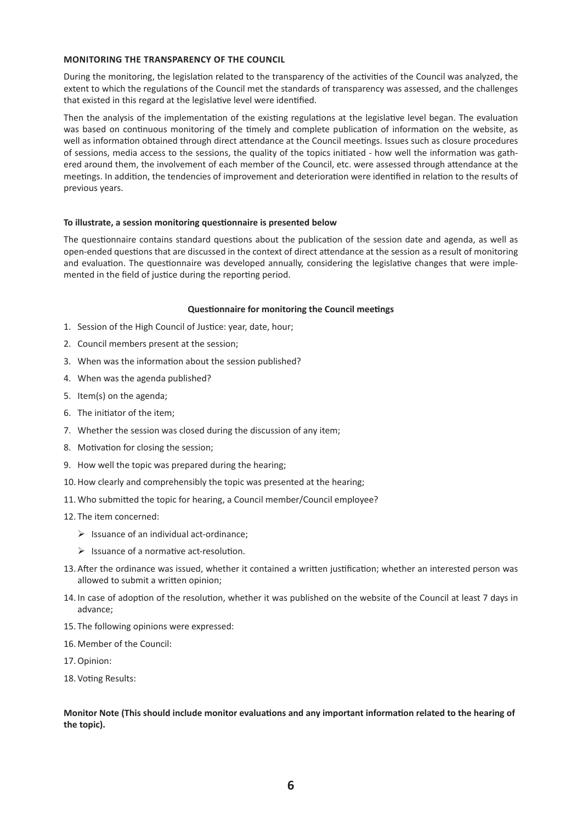## **MONITORING THE TRANSPARENCY OF THE COUNCIL**

During the monitoring, the legislation related to the transparency of the activities of the Council was analyzed, the extent to which the regulations of the Council met the standards of transparency was assessed, and the challenges that existed in this regard at the legislative level were identified.

Then the analysis of the implementation of the existing regulations at the legislative level began. The evaluation was based on continuous monitoring of the timely and complete publication of information on the website, as well as information obtained through direct attendance at the Council meetings. Issues such as closure procedures of sessions, media access to the sessions, the quality of the topics initiated - how well the information was gathered around them, the involvement of each member of the Council, etc. were assessed through attendance at the meetings. In addition, the tendencies of improvement and deterioration were identified in relation to the results of previous years.

## **To illustrate, a session monitoring questionnaire is presented below**

The questionnaire contains standard questions about the publication of the session date and agenda, as well as open-ended questions that are discussed in the context of direct attendance at the session as a result of monitoring and evaluation. The questionnaire was developed annually, considering the legislative changes that were implemented in the field of justice during the reporting period.

## **Questionnaire for monitoring the Council meetings**

- 1. Session of the High Council of Justice: year, date, hour;
- 2. Council members present at the session;
- 3. When was the information about the session published?
- 4. When was the agenda published?
- 5. Item(s) on the agenda;
- 6. The initiator of the item;
- 7. Whether the session was closed during the discussion of any item;
- 8. Motivation for closing the session;
- 9. How well the topic was prepared during the hearing;
- 10.How clearly and comprehensibly the topic was presented at the hearing;
- 11. Who submitted the topic for hearing, a Council member/Council employee?
- 12. The item concerned:
	- $\triangleright$  Issuance of an individual act-ordinance;
	- $\triangleright$  Issuance of a normative act-resolution.
- 13. After the ordinance was issued, whether it contained a written justification; whether an interested person was allowed to submit a written opinion;
- 14. In case of adoption of the resolution, whether it was published on the website of the Council at least 7 days in advance;
- 15. The following opinions were expressed:
- 16. Member of the Council:
- 17.Opinion:
- 18. Voting Results:

**Monitor Note (This should include monitor evaluations and any important information related to the hearing of the topic).**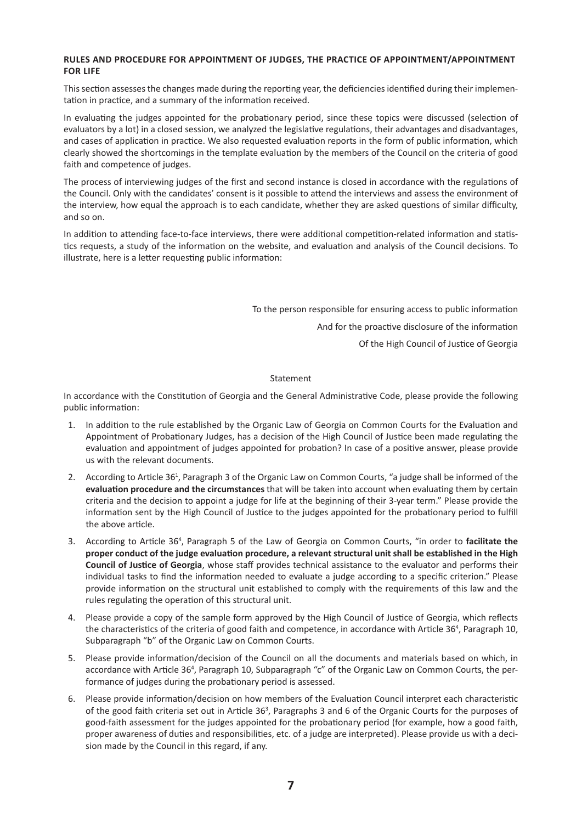# **RULES AND PROCEDURE FOR APPOINTMENT OF JUDGES, THE PRACTICE OF APPOINTMENT/APPOINTMENT FOR LIFE**

This section assesses the changes made during the reporting year, the deficiencies identified during their implementation in practice, and a summary of the information received.

In evaluating the judges appointed for the probationary period, since these topics were discussed (selection of evaluators by a lot) in a closed session, we analyzed the legislative regulations, their advantages and disadvantages, and cases of application in practice. We also requested evaluation reports in the form of public information, which clearly showed the shortcomings in the template evaluation by the members of the Council on the criteria of good faith and competence of judges.

The process of interviewing judges of the first and second instance is closed in accordance with the regulations of the Council. Only with the candidates' consent is it possible to attend the interviews and assess the environment of the interview, how equal the approach is to each candidate, whether they are asked questions of similar difficulty, and so on.

In addition to attending face-to-face interviews, there were additional competition-related information and statistics requests, a study of the information on the website, and evaluation and analysis of the Council decisions. To illustrate, here is a letter requesting public information:

To the person responsible for ensuring access to public information

And for the proactive disclosure of the information

Of the High Council of Justice of Georgia

## Statement

In accordance with the Constitution of Georgia and the General Administrative Code, please provide the following public information:

- 1. In addition to the rule established by the Organic Law of Georgia on Common Courts for the Evaluation and Appointment of Probationary Judges, has a decision of the High Council of Justice been made regulating the evaluation and appointment of judges appointed for probation? In case of a positive answer, please provide us with the relevant documents.
- 2. According to Article 36<sup>1</sup>, Paragraph 3 of the Organic Law on Common Courts, "a judge shall be informed of the **evaluation procedure and the circumstances** that will be taken into account when evaluating them by certain criteria and the decision to appoint a judge for life at the beginning of their 3-year term." Please provide the information sent by the High Council of Justice to the judges appointed for the probationary period to fulfill the above article.
- 3. According to Article 36<sup>4</sup>, Paragraph 5 of the Law of Georgia on Common Courts, "in order to facilitate the **proper conduct of the judge evaluation procedure, a relevant structural unit shall be established in the High Council of Justice of Georgia**, whose staff provides technical assistance to the evaluator and performs their individual tasks to find the information needed to evaluate a judge according to a specific criterion." Please provide information on the structural unit established to comply with the requirements of this law and the rules regulating the operation of this structural unit.
- 4. Please provide a copy of the sample form approved by the High Council of Justice of Georgia, which reflects the characteristics of the criteria of good faith and competence, in accordance with Article 36<sup>4</sup>, Paragraph 10, Subparagraph "b" of the Organic Law on Common Courts.
- 5. Please provide information/decision of the Council on all the documents and materials based on which, in accordance with Article 36<sup>4</sup>, Paragraph 10, Subparagraph "c" of the Organic Law on Common Courts, the performance of judges during the probationary period is assessed.
- 6. Please provide information/decision on how members of the Evaluation Council interpret each characteristic of the good faith criteria set out in Article  $36<sup>3</sup>$ , Paragraphs 3 and 6 of the Organic Courts for the purposes of good-faith assessment for the judges appointed for the probationary period (for example, how a good faith, proper awareness of duties and responsibilities, etc. of a judge are interpreted). Please provide us with a decision made by the Council in this regard, if any.